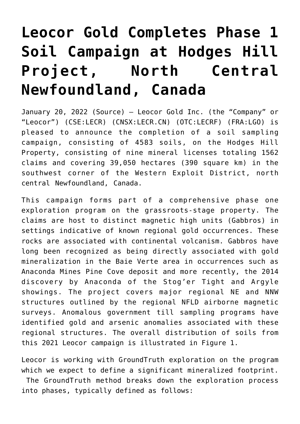# **[Leocor Gold Completes Phase 1](https://investorintel.com/markets/gold-silver-base-metals/gold-precious-metals-news/leocor-gold-completes-phase-1-soil-campaign-at-hodges-hill-project-north-central-newfoundland-canada/) [Soil Campaign at Hodges Hill](https://investorintel.com/markets/gold-silver-base-metals/gold-precious-metals-news/leocor-gold-completes-phase-1-soil-campaign-at-hodges-hill-project-north-central-newfoundland-canada/) [Project, North Central](https://investorintel.com/markets/gold-silver-base-metals/gold-precious-metals-news/leocor-gold-completes-phase-1-soil-campaign-at-hodges-hill-project-north-central-newfoundland-canada/) [Newfoundland, Canada](https://investorintel.com/markets/gold-silver-base-metals/gold-precious-metals-news/leocor-gold-completes-phase-1-soil-campaign-at-hodges-hill-project-north-central-newfoundland-canada/)**

January 20, 2022 ([Source\)](https://www.thenewswire.com/press-releases/1Be9FOMjx-leocor-gold-completes-phase-1-soil-campaign-at-hodges-hill-project-north-central-newfoundland-canada.html) — Leocor Gold Inc. (the "Company" or "Leocor") (CSE:LECR) (CNSX:LECR.CN) (OTC:LECRF) (FRA:LGO) is pleased to announce the completion of a soil sampling campaign, consisting of 4583 soils, on the Hodges Hill Property, consisting of nine mineral licenses totaling 1562 claims and covering 39,050 hectares (390 square km) in the southwest corner of the Western Exploit District, north central Newfoundland, Canada.

This campaign forms part of a comprehensive phase one exploration program on the grassroots-stage property. The claims are host to distinct magnetic high units (Gabbros) in settings indicative of known regional gold occurrences. These rocks are associated with continental volcanism. Gabbros have long been recognized as being directly associated with gold mineralization in the Baie Verte area in occurrences such as Anaconda Mines Pine Cove deposit and more recently, the 2014 discovery by Anaconda of the Stog'er Tight and Argyle showings. The project covers major regional NE and NNW structures outlined by the regional NFLD airborne magnetic surveys. Anomalous government till sampling programs have identified gold and arsenic anomalies associated with these regional structures. The overall distribution of soils from this 2021 Leocor campaign is illustrated in Figure 1.

Leocor is working with GroundTruth exploration on the program which we expect to define a significant mineralized footprint. The GroundTruth method breaks down the exploration process into phases, typically defined as follows: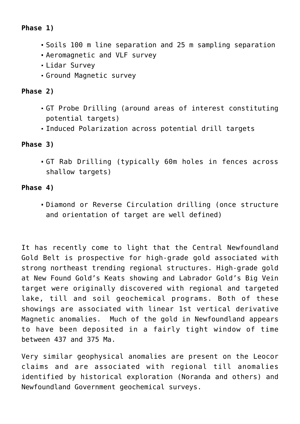# **Phase 1)**

- Soils 100 m line separation and 25 m sampling separation
- Aeromagnetic and VLF survey
- Lidar Survey
- Ground Magnetic survey

# **Phase 2)**

- GT Probe Drilling (around areas of interest constituting potential targets)
- Induced Polarization across potential drill targets

## **Phase 3)**

GT Rab Drilling (typically 60m holes in fences across shallow targets)

#### **Phase 4)**

Diamond or Reverse Circulation drilling (once structure and orientation of target are well defined)

It has recently come to light that the Central Newfoundland Gold Belt is prospective for high-grade gold associated with strong northeast trending regional structures. High-grade gold at New Found Gold's Keats showing and Labrador Gold's Big Vein target were originally discovered with regional and targeted lake, till and soil geochemical programs. Both of these showings are associated with linear 1st vertical derivative Magnetic anomalies. Much of the gold in Newfoundland appears to have been deposited in a fairly tight window of time between 437 and 375 Ma.

Very similar geophysical anomalies are present on the Leocor claims and are associated with regional till anomalies identified by historical exploration (Noranda and others) and Newfoundland Government geochemical surveys.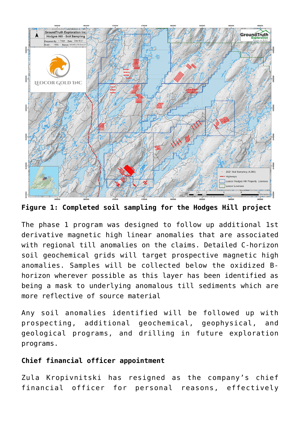

**Figure 1: Completed soil sampling for the Hodges Hill project**

The phase 1 program was designed to follow up additional 1st derivative magnetic high linear anomalies that are associated with regional till anomalies on the claims. Detailed C-horizon soil geochemical grids will target prospective magnetic high anomalies. Samples will be collected below the oxidized Bhorizon wherever possible as this layer has been identified as being a mask to underlying anomalous till sediments which are more reflective of source material

Any soil anomalies identified will be followed up with prospecting, additional geochemical, geophysical, and geological programs, and drilling in future exploration programs.

#### **Chief financial officer appointment**

Zula Kropivnitski has resigned as the company's chief financial officer for personal reasons, effectively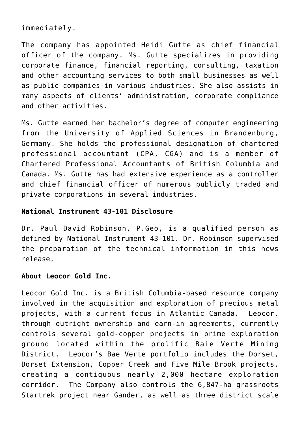immediately.

The company has appointed Heidi Gutte as chief financial officer of the company. Ms. Gutte specializes in providing corporate finance, financial reporting, consulting, taxation and other accounting services to both small businesses as well as public companies in various industries. She also assists in many aspects of clients' administration, corporate compliance and other activities.

Ms. Gutte earned her bachelor's degree of computer engineering from the University of Applied Sciences in Brandenburg, Germany. She holds the professional designation of chartered professional accountant (CPA, CGA) and is a member of Chartered Professional Accountants of British Columbia and Canada. Ms. Gutte has had extensive experience as a controller and chief financial officer of numerous publicly traded and private corporations in several industries.

#### **National Instrument 43-101 Disclosure**

Dr. Paul David Robinson, P.Geo, is a qualified person as defined by National Instrument 43-101. Dr. Robinson supervised the preparation of the technical information in this news release.

#### **About Leocor Gold Inc.**

Leocor Gold Inc. is a British Columbia-based resource company involved in the acquisition and exploration of precious metal projects, with a current focus in Atlantic Canada. Leocor, through outright ownership and earn-in agreements, currently controls several gold-copper projects in prime exploration ground located within the prolific Baie Verte Mining District. Leocor's Bae Verte portfolio includes the Dorset, Dorset Extension, Copper Creek and Five Mile Brook projects, creating a contiguous nearly 2,000 hectare exploration corridor. The Company also controls the 6,847-ha grassroots Startrek project near Gander, as well as three district scale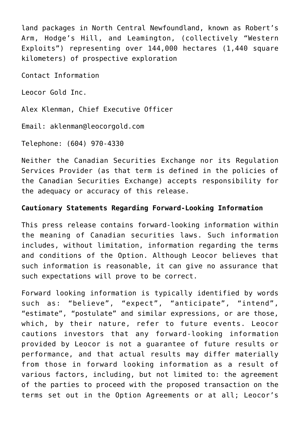land packages in North Central Newfoundland, known as Robert's Arm, Hodge's Hill, and Leamington, (collectively "Western Exploits") representing over 144,000 hectares (1,440 square kilometers) of prospective exploration

Contact Information

Leocor Gold Inc.

Alex Klenman, Chief Executive Officer

Email: aklenman@leocorgold.com

Telephone: (604) 970-4330

Neither the Canadian Securities Exchange nor its Regulation Services Provider (as that term is defined in the policies of the Canadian Securities Exchange) accepts responsibility for the adequacy or accuracy of this release.

## **Cautionary Statements Regarding Forward-Looking Information**

This press release contains forward-looking information within the meaning of Canadian securities laws. Such information includes, without limitation, information regarding the terms and conditions of the Option. Although Leocor believes that such information is reasonable, it can give no assurance that such expectations will prove to be correct.

Forward looking information is typically identified by words such as: "believe", "expect", "anticipate", "intend", "estimate", "postulate" and similar expressions, or are those, which, by their nature, refer to future events. Leocor cautions investors that any forward-looking information provided by Leocor is not a guarantee of future results or performance, and that actual results may differ materially from those in forward looking information as a result of various factors, including, but not limited to: the agreement of the parties to proceed with the proposed transaction on the terms set out in the Option Agreements or at all; Leocor's